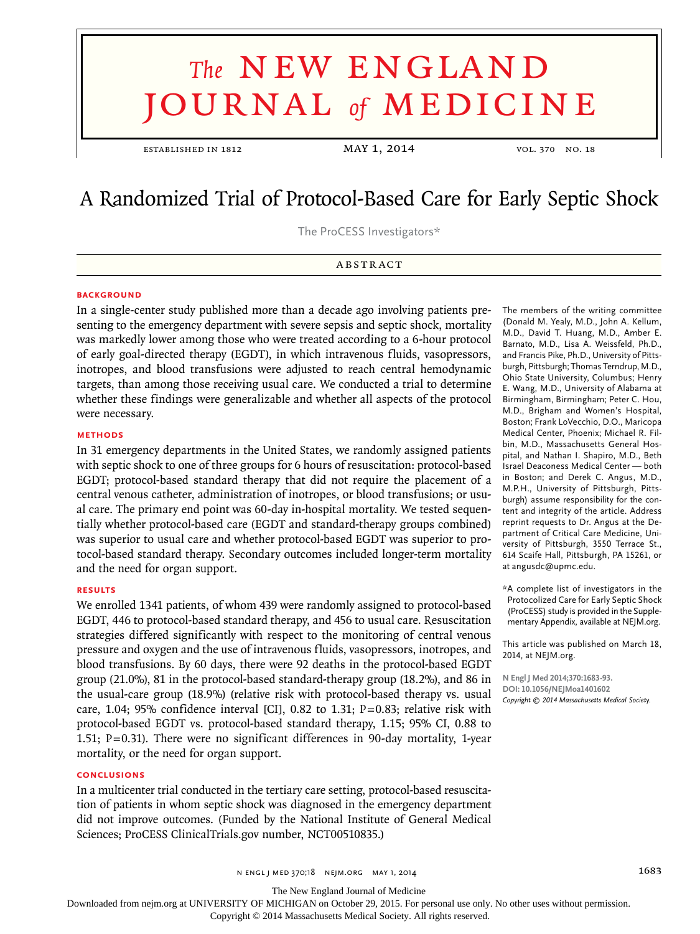# **The NEW ENGLAND** journal *of* medicine

ESTABLISHED IN 1812 **MAY 1, 2014** vol. 370 No. 18

## A Randomized Trial of Protocol-Based Care for Early Septic Shock

The ProCESS Investigators\*

ABSTRACT

#### **BACKGROUND**

In a single-center study published more than a decade ago involving patients presenting to the emergency department with severe sepsis and septic shock, mortality was markedly lower among those who were treated according to a 6-hour protocol of early goal-directed therapy (EGDT), in which intravenous fluids, vasopressors, inotropes, and blood transfusions were adjusted to reach central hemodynamic targets, than among those receiving usual care. We conducted a trial to determine whether these findings were generalizable and whether all aspects of the protocol were necessary.

#### **Methods**

In 31 emergency departments in the United States, we randomly assigned patients with septic shock to one of three groups for 6 hours of resuscitation: protocol-based EGDT; protocol-based standard therapy that did not require the placement of a central venous catheter, administration of inotropes, or blood transfusions; or usual care. The primary end point was 60-day in-hospital mortality. We tested sequentially whether protocol-based care (EGDT and standard-therapy groups combined) was superior to usual care and whether protocol-based EGDT was superior to protocol-based standard therapy. Secondary outcomes included longer-term mortality and the need for organ support.

#### **Results**

We enrolled 1341 patients, of whom 439 were randomly assigned to protocol-based EGDT, 446 to protocol-based standard therapy, and 456 to usual care. Resuscitation strategies differed significantly with respect to the monitoring of central venous pressure and oxygen and the use of intravenous fluids, vasopressors, inotropes, and blood transfusions. By 60 days, there were 92 deaths in the protocol-based EGDT group (21.0%), 81 in the protocol-based standard-therapy group (18.2%), and 86 in the usual-care group (18.9%) (relative risk with protocol-based therapy vs. usual care, 1.04; 95% confidence interval [CI], 0.82 to 1.31;  $P=0.83$ ; relative risk with protocol-based EGDT vs. protocol-based standard therapy, 1.15; 95% CI, 0.88 to 1.51; P=0.31). There were no significant differences in 90-day mortality, 1-year mortality, or the need for organ support.

#### **Conclusions**

In a multicenter trial conducted in the tertiary care setting, protocol-based resuscitation of patients in whom septic shock was diagnosed in the emergency department did not improve outcomes. (Funded by the National Institute of General Medical Sciences; ProCESS ClinicalTrials.gov number, NCT00510835.)

The members of the writing committee (Donald M. Yealy, M.D., John A. Kellum, M.D., David T. Huang, M.D., Amber E. Barnato, M.D., Lisa A. Weissfeld, Ph.D., and Francis Pike, Ph.D., University of Pittsburgh, Pittsburgh; Thomas Terndrup, M.D., Ohio State University, Columbus; Henry E. Wang, M.D., University of Alabama at Birmingham, Birmingham; Peter C. Hou, M.D., Brigham and Women's Hospital, Boston; Frank LoVecchio, D.O., Maricopa Medical Center, Phoenix; Michael R. Filbin, M.D., Massachusetts General Hospital, and Nathan I. Shapiro, M.D., Beth Israel Deaconess Medical Center — both in Boston; and Derek C. Angus, M.D., M.P.H., University of Pittsburgh, Pittsburgh) assume responsibility for the content and integrity of the article. Address reprint requests to Dr. Angus at the Department of Critical Care Medicine, University of Pittsburgh, 3550 Terrace St., 614 Scaife Hall, Pittsburgh, PA 15261, or at angusdc@upmc.edu.

\*A complete list of investigators in the Protocolized Care for Early Septic Shock (ProCESS) study is provided in the Supplementary Appendix, available at NEJM.org.

This article was published on March 18, 2014, at NEJM.org.

**N Engl J Med 2014;370:1683-93. DOI: 10.1056/NEJMoa1401602** *Copyright © 2014 Massachusetts Medical Society.*

n engl j med 370;18 nejm.org may 1, 2014 1683

The New England Journal of Medicine

Downloaded from nejm.org at UNIVERSITY OF MICHIGAN on October 29, 2015. For personal use only. No other uses without permission.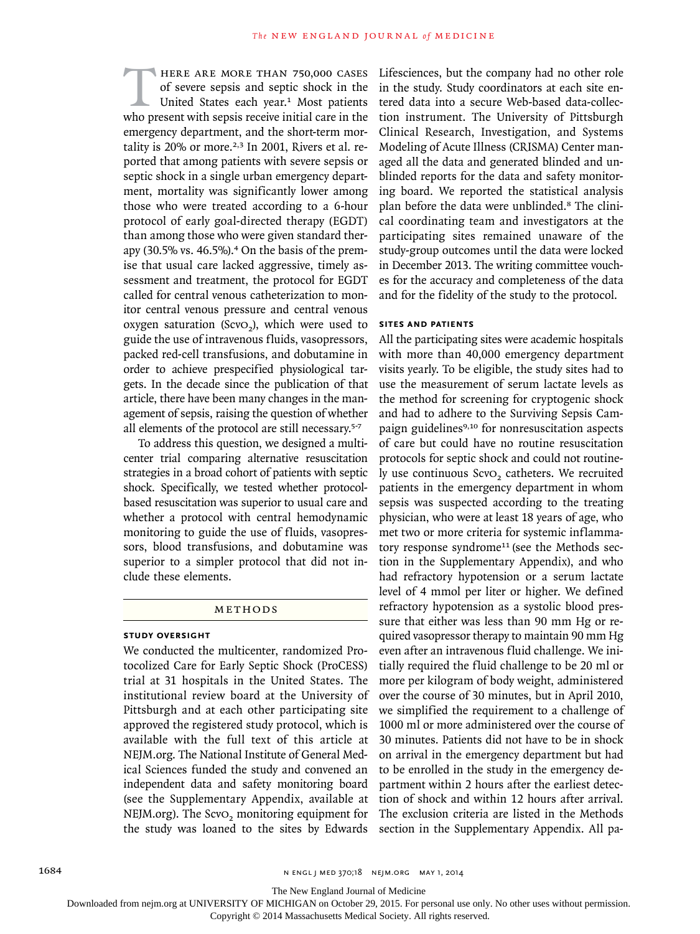HERE ARE MORE THAN 750,000 CASES of severe sepsis and septic shock in the United States each year.<sup>1</sup> Most patients who present with sepsis receive initial care in the emergency department, and the short-term mortality is  $20\%$  or more.<sup>2,3</sup> In 2001, Rivers et al. reported that among patients with severe sepsis or septic shock in a single urban emergency department, mortality was significantly lower among those who were treated according to a 6-hour protocol of early goal-directed therapy (EGDT) than among those who were given standard therapy (30.5% vs. 46.5%).<sup>4</sup> On the basis of the premise that usual care lacked aggressive, timely assessment and treatment, the protocol for EGDT called for central venous catheterization to monitor central venous pressure and central venous oxygen saturation (ScvO<sub>2</sub>), which were used to guide the use of intravenous fluids, vasopressors, packed red-cell transfusions, and dobutamine in order to achieve prespecified physiological targets. In the decade since the publication of that article, there have been many changes in the management of sepsis, raising the question of whether all elements of the protocol are still necessary.5-7

To address this question, we designed a multicenter trial comparing alternative resuscitation strategies in a broad cohort of patients with septic shock. Specifically, we tested whether protocolbased resuscitation was superior to usual care and whether a protocol with central hemodynamic monitoring to guide the use of fluids, vasopressors, blood transfusions, and dobutamine was superior to a simpler protocol that did not include these elements.

#### **METHODS**

#### **Study Oversight**

We conducted the multicenter, randomized Protocolized Care for Early Septic Shock (ProCESS) trial at 31 hospitals in the United States. The institutional review board at the University of Pittsburgh and at each other participating site approved the registered study protocol, which is available with the full text of this article at NEJM.org. The National Institute of General Medical Sciences funded the study and convened an independent data and safety monitoring board (see the Supplementary Appendix, available at NEJM.org). The ScvO<sub>2</sub> monitoring equipment for the study was loaned to the sites by Edwards

Lifesciences, but the company had no other role in the study. Study coordinators at each site entered data into a secure Web-based data-collection instrument. The University of Pittsburgh Clinical Research, Investigation, and Systems Modeling of Acute Illness (CRISMA) Center managed all the data and generated blinded and unblinded reports for the data and safety monitoring board. We reported the statistical analysis plan before the data were unblinded.8 The clinical coordinating team and investigators at the participating sites remained unaware of the study-group outcomes until the data were locked in December 2013. The writing committee vouches for the accuracy and completeness of the data and for the fidelity of the study to the protocol.

#### **Sites and Patients**

All the participating sites were academic hospitals with more than 40,000 emergency department visits yearly. To be eligible, the study sites had to use the measurement of serum lactate levels as the method for screening for cryptogenic shock and had to adhere to the Surviving Sepsis Campaign guidelines<sup>9,10</sup> for nonresuscitation aspects of care but could have no routine resuscitation protocols for septic shock and could not routinely use continuous ScvO<sub>2</sub> catheters. We recruited patients in the emergency department in whom sepsis was suspected according to the treating physician, who were at least 18 years of age, who met two or more criteria for systemic inflammatory response syndrome<sup>11</sup> (see the Methods section in the Supplementary Appendix), and who had refractory hypotension or a serum lactate level of 4 mmol per liter or higher. We defined refractory hypotension as a systolic blood pressure that either was less than 90 mm Hg or required vasopressor therapy to maintain 90 mm Hg even after an intravenous fluid challenge. We initially required the fluid challenge to be 20 ml or more per kilogram of body weight, administered over the course of 30 minutes, but in April 2010, we simplified the requirement to a challenge of 1000 ml or more administered over the course of 30 minutes. Patients did not have to be in shock on arrival in the emergency department but had to be enrolled in the study in the emergency department within 2 hours after the earliest detection of shock and within 12 hours after arrival. The exclusion criteria are listed in the Methods section in the Supplementary Appendix. All pa-

The New England Journal of Medicine

Downloaded from nejm.org at UNIVERSITY OF MICHIGAN on October 29, 2015. For personal use only. No other uses without permission.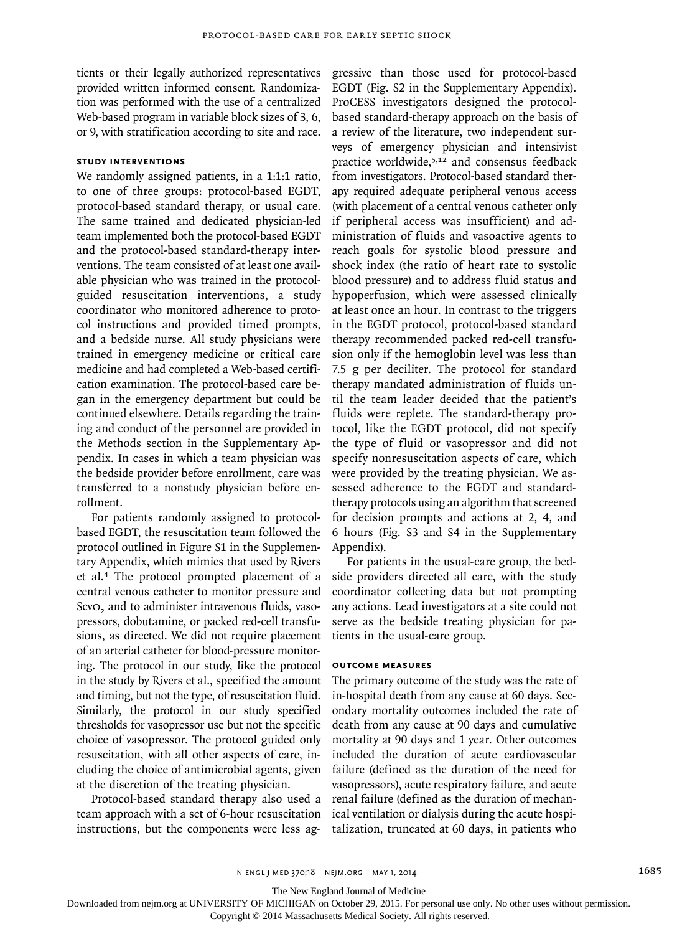tients or their legally authorized representatives provided written informed consent. Randomization was performed with the use of a centralized Web-based program in variable block sizes of 3, 6, or 9, with stratification according to site and race.

#### **Study Interventions**

We randomly assigned patients, in a 1:1:1 ratio, to one of three groups: protocol-based EGDT, protocol-based standard therapy, or usual care. The same trained and dedicated physician-led team implemented both the protocol-based EGDT and the protocol-based standard-therapy interventions. The team consisted of at least one available physician who was trained in the protocolguided resuscitation interventions, a study coordinator who monitored adherence to protocol instructions and provided timed prompts, and a bedside nurse. All study physicians were trained in emergency medicine or critical care medicine and had completed a Web-based certification examination. The protocol-based care began in the emergency department but could be continued elsewhere. Details regarding the training and conduct of the personnel are provided in the Methods section in the Supplementary Appendix. In cases in which a team physician was the bedside provider before enrollment, care was transferred to a nonstudy physician before enrollment.

For patients randomly assigned to protocolbased EGDT, the resuscitation team followed the protocol outlined in Figure S1 in the Supplementary Appendix, which mimics that used by Rivers et al.4 The protocol prompted placement of a central venous catheter to monitor pressure and ScvO<sub>2</sub> and to administer intravenous fluids, vasopressors, dobutamine, or packed red-cell transfusions, as directed. We did not require placement of an arterial catheter for blood-pressure monitoring. The protocol in our study, like the protocol in the study by Rivers et al., specified the amount and timing, but not the type, of resuscitation fluid. Similarly, the protocol in our study specified thresholds for vasopressor use but not the specific choice of vasopressor. The protocol guided only resuscitation, with all other aspects of care, including the choice of antimicrobial agents, given at the discretion of the treating physician.

Protocol-based standard therapy also used a team approach with a set of 6-hour resuscitation instructions, but the components were less aggressive than those used for protocol-based EGDT (Fig. S2 in the Supplementary Appendix). ProCESS investigators designed the protocolbased standard-therapy approach on the basis of a review of the literature, two independent surveys of emergency physician and intensivist practice worldwide,5,12 and consensus feedback from investigators. Protocol-based standard therapy required adequate peripheral venous access (with placement of a central venous catheter only if peripheral access was insufficient) and administration of fluids and vasoactive agents to reach goals for systolic blood pressure and shock index (the ratio of heart rate to systolic blood pressure) and to address fluid status and hypoperfusion, which were assessed clinically at least once an hour. In contrast to the triggers in the EGDT protocol, protocol-based standard therapy recommended packed red-cell transfusion only if the hemoglobin level was less than 7.5 g per deciliter. The protocol for standard therapy mandated administration of fluids until the team leader decided that the patient's fluids were replete. The standard-therapy protocol, like the EGDT protocol, did not specify the type of fluid or vasopressor and did not specify nonresuscitation aspects of care, which were provided by the treating physician. We assessed adherence to the EGDT and standardtherapy protocols using an algorithm that screened for decision prompts and actions at 2, 4, and 6 hours (Fig. S3 and S4 in the Supplementary Appendix).

For patients in the usual-care group, the bedside providers directed all care, with the study coordinator collecting data but not prompting any actions. Lead investigators at a site could not serve as the bedside treating physician for patients in the usual-care group.

#### **Outcome Measures**

The primary outcome of the study was the rate of in-hospital death from any cause at 60 days. Secondary mortality outcomes included the rate of death from any cause at 90 days and cumulative mortality at 90 days and 1 year. Other outcomes included the duration of acute cardiovascular failure (defined as the duration of the need for vasopressors), acute respiratory failure, and acute renal failure (defined as the duration of mechanical ventilation or dialysis during the acute hospitalization, truncated at 60 days, in patients who

The New England Journal of Medicine

Downloaded from nejm.org at UNIVERSITY OF MICHIGAN on October 29, 2015. For personal use only. No other uses without permission.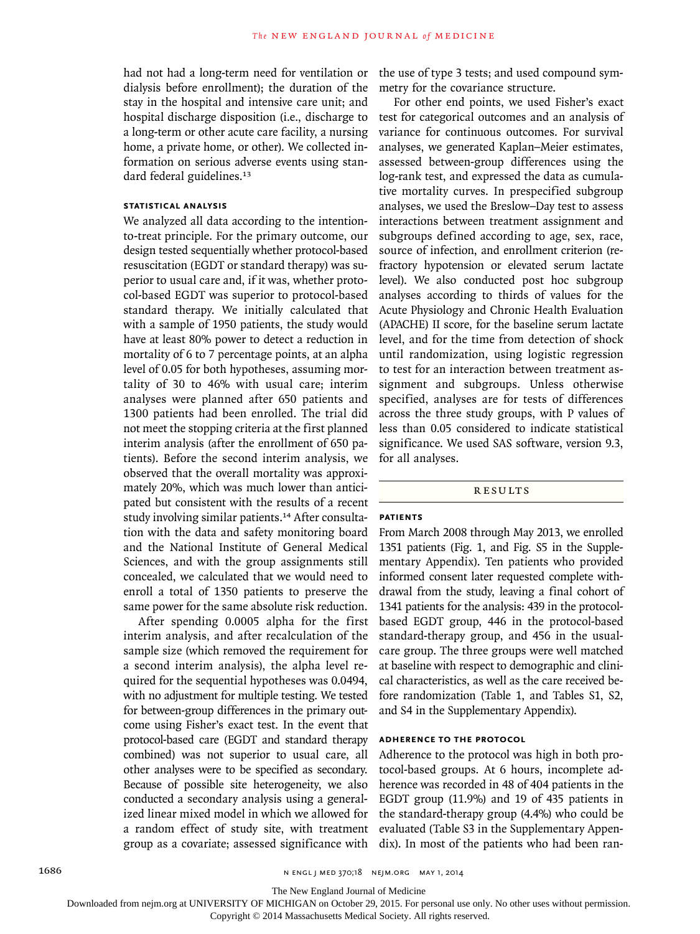had not had a long-term need for ventilation or dialysis before enrollment); the duration of the stay in the hospital and intensive care unit; and hospital discharge disposition (i.e., discharge to a long-term or other acute care facility, a nursing home, a private home, or other). We collected information on serious adverse events using standard federal guidelines.<sup>13</sup>

#### **Statistical Analysis**

We analyzed all data according to the intentionto-treat principle. For the primary outcome, our design tested sequentially whether protocol-based resuscitation (EGDT or standard therapy) was superior to usual care and, if it was, whether protocol-based EGDT was superior to protocol-based standard therapy. We initially calculated that with a sample of 1950 patients, the study would have at least 80% power to detect a reduction in mortality of 6 to 7 percentage points, at an alpha level of 0.05 for both hypotheses, assuming mortality of 30 to 46% with usual care; interim analyses were planned after 650 patients and 1300 patients had been enrolled. The trial did not meet the stopping criteria at the first planned interim analysis (after the enrollment of 650 patients). Before the second interim analysis, we observed that the overall mortality was approximately 20%, which was much lower than anticipated but consistent with the results of a recent study involving similar patients.<sup>14</sup> After consultation with the data and safety monitoring board and the National Institute of General Medical Sciences, and with the group assignments still concealed, we calculated that we would need to enroll a total of 1350 patients to preserve the same power for the same absolute risk reduction.

After spending 0.0005 alpha for the first interim analysis, and after recalculation of the sample size (which removed the requirement for a second interim analysis), the alpha level required for the sequential hypotheses was 0.0494, with no adjustment for multiple testing. We tested for between-group differences in the primary outcome using Fisher's exact test. In the event that protocol-based care (EGDT and standard therapy combined) was not superior to usual care, all other analyses were to be specified as secondary. Because of possible site heterogeneity, we also conducted a secondary analysis using a generalized linear mixed model in which we allowed for a random effect of study site, with treatment group as a covariate; assessed significance with

the use of type 3 tests; and used compound symmetry for the covariance structure.

For other end points, we used Fisher's exact test for categorical outcomes and an analysis of variance for continuous outcomes. For survival analyses, we generated Kaplan–Meier estimates, assessed between-group differences using the log-rank test, and expressed the data as cumulative mortality curves. In prespecified subgroup analyses, we used the Breslow–Day test to assess interactions between treatment assignment and subgroups defined according to age, sex, race, source of infection, and enrollment criterion (refractory hypotension or elevated serum lactate level). We also conducted post hoc subgroup analyses according to thirds of values for the Acute Physiology and Chronic Health Evaluation (APACHE) II score, for the baseline serum lactate level, and for the time from detection of shock until randomization, using logistic regression to test for an interaction between treatment assignment and subgroups. Unless otherwise specified, analyses are for tests of differences across the three study groups, with P values of less than 0.05 considered to indicate statistical significance. We used SAS software, version 9.3, for all analyses.

#### Results

#### **Patients**

From March 2008 through May 2013, we enrolled 1351 patients (Fig. 1, and Fig. S5 in the Supplementary Appendix). Ten patients who provided informed consent later requested complete withdrawal from the study, leaving a final cohort of 1341 patients for the analysis: 439 in the protocolbased EGDT group, 446 in the protocol-based standard-therapy group, and 456 in the usualcare group. The three groups were well matched at baseline with respect to demographic and clinical characteristics, as well as the care received before randomization (Table 1, and Tables S1, S2, and S4 in the Supplementary Appendix).

#### **Adherence to the Protocol**

Adherence to the protocol was high in both protocol-based groups. At 6 hours, incomplete adherence was recorded in 48 of 404 patients in the EGDT group (11.9%) and 19 of 435 patients in the standard-therapy group (4.4%) who could be evaluated (Table S3 in the Supplementary Appendix). In most of the patients who had been ran-

The New England Journal of Medicine

Downloaded from nejm.org at UNIVERSITY OF MICHIGAN on October 29, 2015. For personal use only. No other uses without permission.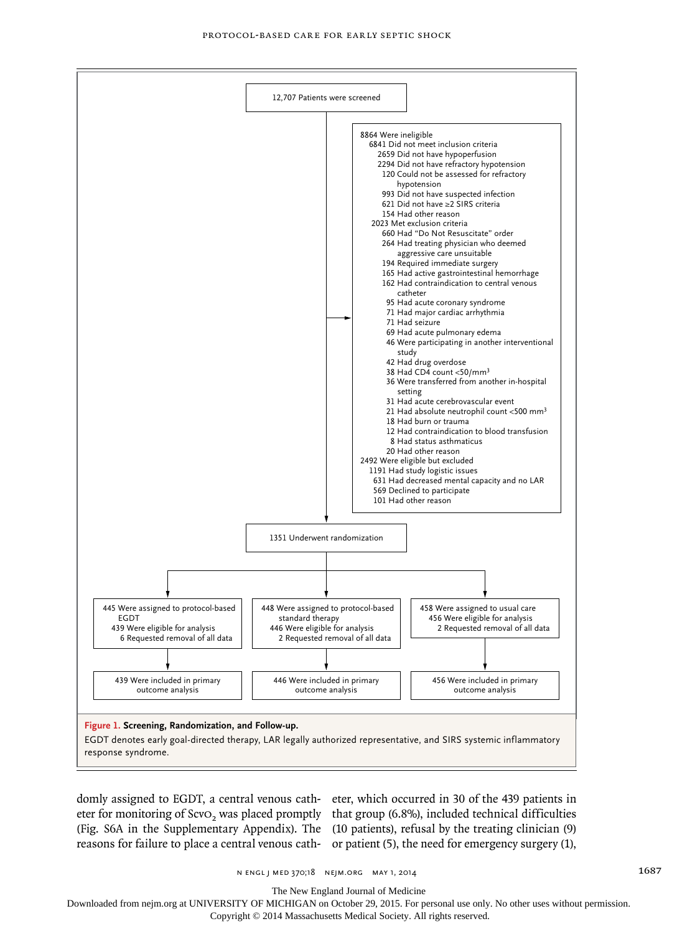

eter for monitoring of  $S$ cvO<sub>2</sub> was placed promptly that group (6.8%), included technical difficulties (Fig. S6A in the Supplementary Appendix). The (10 patients), refusal by the treating clinician (9) reasons for failure to place a central venous cath-or patient (5), the need for emergency surgery (1),

domly assigned to EGDT, a central venous cath-eter, which occurred in 30 of the 439 patients in

n engl j med 370;18 nejm.org may 1, 2014 1687

The New England Journal of Medicine

Downloaded from nejm.org at UNIVERSITY OF MICHIGAN on October 29, 2015. For personal use only. No other uses without permission.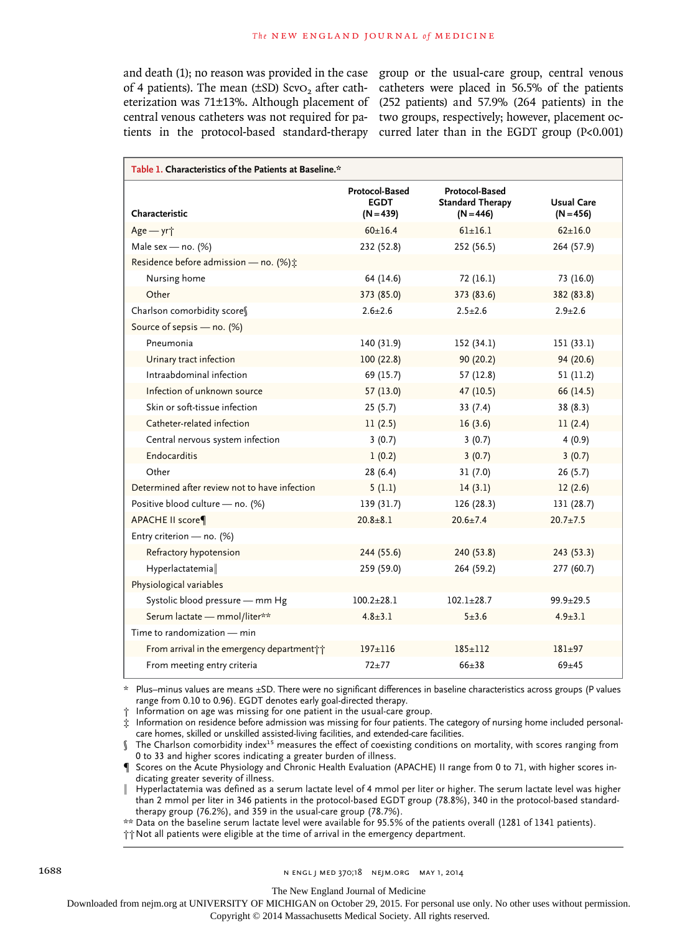central venous catheters was not required for pa-two groups, respectively; however, placement octients in the protocol-based standard-therapy curred later than in the EGDT group (P<0.001)

and death (1); no reason was provided in the case group or the usual-care group, central venous of 4 patients). The mean (±SD) ScvO<sub>2</sub> after cath- catheters were placed in 56.5% of the patients eterization was 71±13%. Although placement of (252 patients) and 57.9% (264 patients) in the

| Table 1. Characteristics of the Patients at Baseline.* |                                              |                                                          |                           |  |
|--------------------------------------------------------|----------------------------------------------|----------------------------------------------------------|---------------------------|--|
| Characteristic                                         | Protocol-Based<br><b>EGDT</b><br>$(N = 439)$ | Protocol-Based<br><b>Standard Therapy</b><br>$(N = 446)$ | Usual Care<br>$(N = 456)$ |  |
| Age - yr <sup>+</sup>                                  | $60+16.4$                                    | $61+16.1$                                                | $62+16.0$                 |  |
| Male sex - no. $(%)$                                   | 232 (52.8)                                   | 252 (56.5)                                               | 264 (57.9)                |  |
| Residence before admission - no. (%);                  |                                              |                                                          |                           |  |
| Nursing home                                           | 64 (14.6)                                    | 72(16.1)                                                 | 73 (16.0)                 |  |
| Other                                                  | 373 (85.0)                                   | 373 (83.6)                                               | 382 (83.8)                |  |
| Charlson comorbidity score                             | $2.6 \pm 2.6$                                | $2.5 \pm 2.6$                                            | $2.9 + 2.6$               |  |
| Source of sepsis - no. (%)                             |                                              |                                                          |                           |  |
| Pneumonia                                              | 140 (31.9)                                   | 152(34.1)                                                | 151(33.1)                 |  |
| Urinary tract infection                                | 100(22.8)                                    | 90(20.2)                                                 | 94(20.6)                  |  |
| Intraabdominal infection                               | 69 (15.7)                                    | 57 (12.8)                                                | 51(11.2)                  |  |
| Infection of unknown source                            | 57(13.0)                                     | 47(10.5)                                                 | 66 (14.5)                 |  |
| Skin or soft-tissue infection                          | 25(5.7)                                      | 33(7.4)                                                  | 38(8.3)                   |  |
| Catheter-related infection                             | 11(2.5)                                      | 16(3.6)                                                  | 11(2.4)                   |  |
| Central nervous system infection                       | 3(0.7)                                       | 3(0.7)                                                   | 4(0.9)                    |  |
| Endocarditis                                           | 1(0.2)                                       | 3(0.7)                                                   | 3(0.7)                    |  |
| Other                                                  | 28(6.4)                                      | 31(7.0)                                                  | 26(5.7)                   |  |
| Determined after review not to have infection          | 5(1.1)                                       | 14(3.1)                                                  | 12(2.6)                   |  |
| Positive blood culture - no. (%)                       | 139(31.7)                                    | 126(28.3)                                                | 131 (28.7)                |  |
| APACHE II score¶                                       | $20.8 + 8.1$                                 | $20.6 \pm 7.4$                                           | $20.7 \pm 7.5$            |  |
| Entry criterion - no. (%)                              |                                              |                                                          |                           |  |
| Refractory hypotension                                 | 244 (55.6)                                   | 240 (53.8)                                               | 243 (53.3)                |  |
| Hyperlactatemia                                        | 259 (59.0)                                   | 264 (59.2)                                               | 277 (60.7)                |  |
| Physiological variables                                |                                              |                                                          |                           |  |
| Systolic blood pressure - mm Hg                        | $100.2 + 28.1$                               | $102.1 + 28.7$                                           | $99.9 \pm 29.5$           |  |
| Serum lactate - mmol/liter**                           | $4.8 + 3.1$                                  | $5 + 3.6$                                                | $4.9 + 3.1$               |  |
| Time to randomization - min                            |                                              |                                                          |                           |  |
| From arrival in the emergency department it            | $197 + 116$                                  | $185 + 112$                                              | $181 + 97$                |  |
| From meeting entry criteria                            | $72 + 77$                                    | $66 + 38$                                                | $69 + 45$                 |  |

\* Plus–minus values are means ±SD. There were no significant differences in baseline characteristics across groups (P values range from 0.10 to 0.96). EGDT denotes early goal-directed therapy.

† Information on age was missing for one patient in the usual-care group.

‡ Information on residence before admission was missing for four patients. The category of nursing home included personalcare homes, skilled or unskilled assisted-living facilities, and extended-care facilities.

 $\hat{N}$  The Charlson comorbidity index<sup>15</sup> measures the effect of coexisting conditions on mortality, with scores ranging from 0 to 33 and higher scores indicating a greater burden of illness.

¶ Scores on the Acute Physiology and Chronic Health Evaluation (APACHE) II range from 0 to 71, with higher scores indicating greater severity of illness.

‖ Hyperlactatemia was defined as a serum lactate level of 4 mmol per liter or higher. The serum lactate level was higher than 2 mmol per liter in 346 patients in the protocol-based EGDT group (78.8%), 340 in the protocol-based standardtherapy group (76.2%), and 359 in the usual-care group (78.7%).

\*\* Data on the baseline serum lactate level were available for 95.5% of the patients overall (1281 of 1341 patients).

††Not all patients were eligible at the time of arrival in the emergency department.

The New England Journal of Medicine

Downloaded from nejm.org at UNIVERSITY OF MICHIGAN on October 29, 2015. For personal use only. No other uses without permission.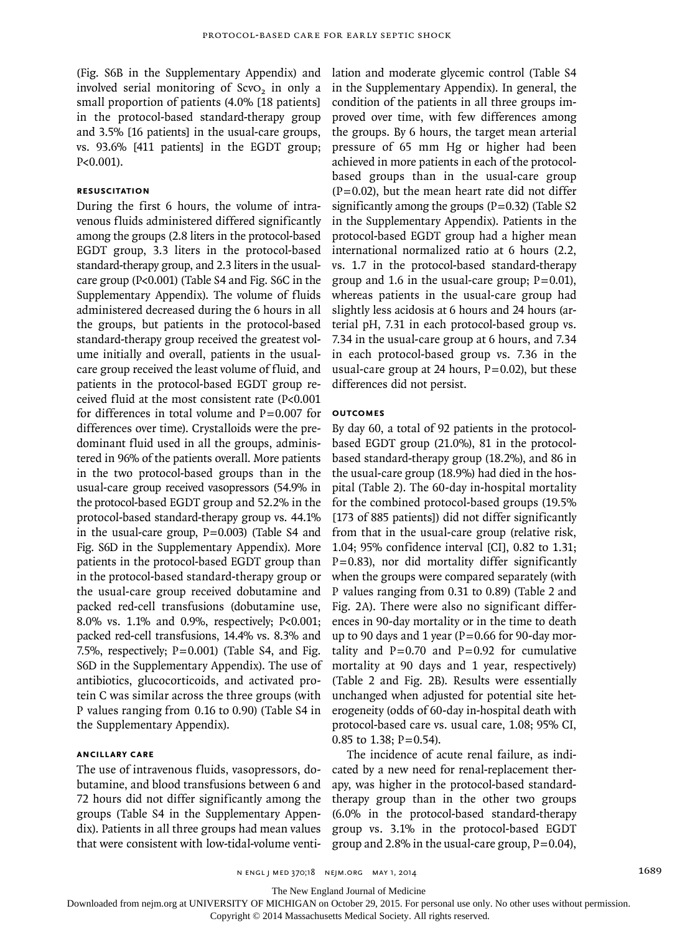(Fig. S6B in the Supplementary Appendix) and involved serial monitoring of ScvO<sub>2</sub> in only a small proportion of patients (4.0% [18 patients] in the protocol-based standard-therapy group and 3.5% [16 patients] in the usual-care groups, vs. 93.6% [411 patients] in the EGDT group; P<0.001).

#### **Resuscitation**

During the first 6 hours, the volume of intravenous fluids administered differed significantly among the groups (2.8 liters in the protocol-based EGDT group, 3.3 liters in the protocol-based standard-therapy group, and 2.3 liters in the usualcare group (P<0.001) (Table S4 and Fig. S6C in the Supplementary Appendix). The volume of fluids administered decreased during the 6 hours in all the groups, but patients in the protocol-based standard-therapy group received the greatest volume initially and overall, patients in the usualcare group received the least volume of fluid, and patients in the protocol-based EGDT group received fluid at the most consistent rate (P<0.001 for differences in total volume and  $P=0.007$  for differences over time). Crystalloids were the predominant fluid used in all the groups, administered in 96% of the patients overall. More patients in the two protocol-based groups than in the usual-care group received vasopressors (54.9% in the protocol-based EGDT group and 52.2% in the protocol-based standard-therapy group vs. 44.1% in the usual-care group,  $P=0.003$ ) (Table S4 and Fig. S6D in the Supplementary Appendix). More patients in the protocol-based EGDT group than in the protocol-based standard-therapy group or the usual-care group received dobutamine and packed red-cell transfusions (dobutamine use, 8.0% vs. 1.1% and 0.9%, respectively; P<0.001; packed red-cell transfusions, 14.4% vs. 8.3% and 7.5%, respectively;  $P=0.001$ ) (Table S4, and Fig. S6D in the Supplementary Appendix). The use of antibiotics, glucocorticoids, and activated protein C was similar across the three groups (with P values ranging from 0.16 to 0.90) (Table S4 in the Supplementary Appendix).

#### **Ancillary Care**

The use of intravenous fluids, vasopressors, dobutamine, and blood transfusions between 6 and 72 hours did not differ significantly among the groups (Table S4 in the Supplementary Appendix). Patients in all three groups had mean values that were consistent with low-tidal-volume ventilation and moderate glycemic control (Table S4 in the Supplementary Appendix). In general, the condition of the patients in all three groups improved over time, with few differences among the groups. By 6 hours, the target mean arterial pressure of 65 mm Hg or higher had been achieved in more patients in each of the protocolbased groups than in the usual-care group  $(P=0.02)$ , but the mean heart rate did not differ significantly among the groups  $(P=0.32)$  (Table S2 in the Supplementary Appendix). Patients in the protocol-based EGDT group had a higher mean international normalized ratio at 6 hours (2.2, vs. 1.7 in the protocol-based standard-therapy group and 1.6 in the usual-care group;  $P=0.01$ ), whereas patients in the usual-care group had slightly less acidosis at 6 hours and 24 hours (arterial pH, 7.31 in each protocol-based group vs. 7.34 in the usual-care group at 6 hours, and 7.34 in each protocol-based group vs. 7.36 in the usual-care group at 24 hours,  $P=0.02$ ), but these differences did not persist.

#### **Outcomes**

By day 60, a total of 92 patients in the protocolbased EGDT group (21.0%), 81 in the protocolbased standard-therapy group (18.2%), and 86 in the usual-care group (18.9%) had died in the hospital (Table 2). The 60-day in-hospital mortality for the combined protocol-based groups (19.5% [173 of 885 patients]) did not differ significantly from that in the usual-care group (relative risk, 1.04; 95% confidence interval [CI], 0.82 to 1.31; P=0.83), nor did mortality differ significantly when the groups were compared separately (with P values ranging from 0.31 to 0.89) (Table 2 and Fig. 2A). There were also no significant differences in 90-day mortality or in the time to death up to 90 days and 1 year ( $P=0.66$  for 90-day mortality and  $P=0.70$  and  $P=0.92$  for cumulative mortality at 90 days and 1 year, respectively) (Table 2 and Fig. 2B). Results were essentially unchanged when adjusted for potential site heterogeneity (odds of 60-day in-hospital death with protocol-based care vs. usual care, 1.08; 95% CI, 0.85 to 1.38;  $P = 0.54$ ).

The incidence of acute renal failure, as indicated by a new need for renal-replacement therapy, was higher in the protocol-based standardtherapy group than in the other two groups (6.0% in the protocol-based standard-therapy group vs. 3.1% in the protocol-based EGDT group and 2.8% in the usual-care group,  $P=0.04$ ),

n engl j med 370;18 nejm.org may 1, 2014 1689

The New England Journal of Medicine

Downloaded from nejm.org at UNIVERSITY OF MICHIGAN on October 29, 2015. For personal use only. No other uses without permission.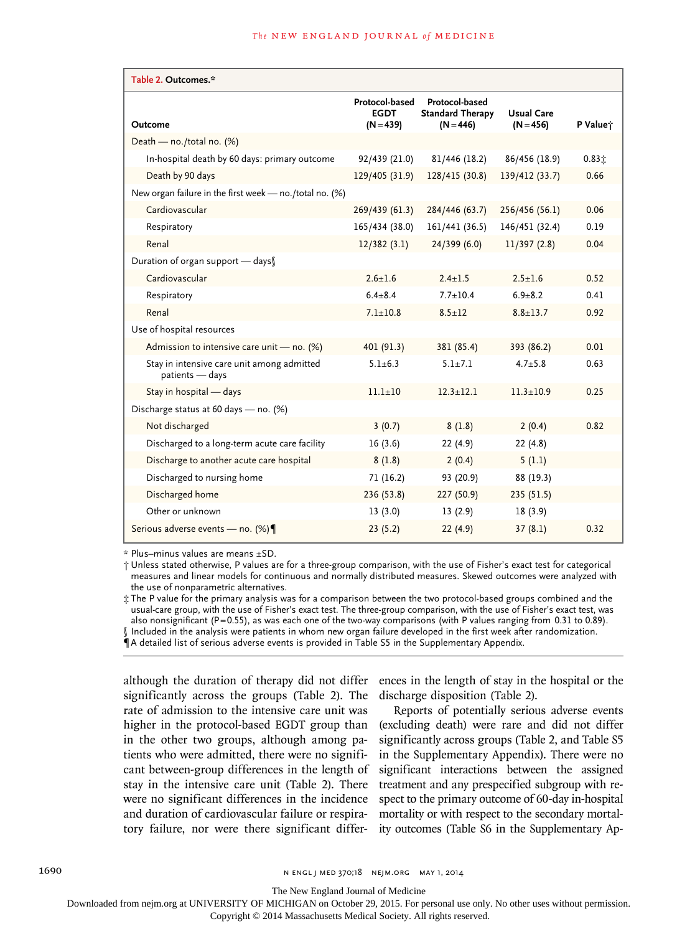| Table 2. Outcomes.*                                           |                                              |                                                          |                                  |          |  |  |
|---------------------------------------------------------------|----------------------------------------------|----------------------------------------------------------|----------------------------------|----------|--|--|
| Outcome                                                       | Protocol-based<br><b>EGDT</b><br>$(N = 439)$ | Protocol-based<br><b>Standard Therapy</b><br>$(N = 446)$ | <b>Usual Care</b><br>$(N = 456)$ | P Value† |  |  |
| Death - no./total no. (%)                                     |                                              |                                                          |                                  |          |  |  |
| In-hospital death by 60 days: primary outcome                 | 92/439 (21.0)                                | 81/446 (18.2)                                            | 86/456 (18.9)                    | 0.831    |  |  |
| Death by 90 days                                              | 129/405 (31.9)                               | 128/415 (30.8)                                           | 139/412 (33.7)                   | 0.66     |  |  |
| New organ failure in the first week - no./total no. (%)       |                                              |                                                          |                                  |          |  |  |
| Cardiovascular                                                | 269/439 (61.3)                               | 284/446 (63.7)                                           | 256/456 (56.1)                   | 0.06     |  |  |
| Respiratory                                                   | 165/434 (38.0)                               | 161/441 (36.5)                                           | 146/451 (32.4)                   | 0.19     |  |  |
| Renal                                                         | 12/382(3.1)                                  | 24/399(6.0)                                              | 11/397(2.8)                      | 0.04     |  |  |
| Duration of organ support - days                              |                                              |                                                          |                                  |          |  |  |
| Cardiovascular                                                | $2.6 + 1.6$                                  | $2.4 + 1.5$                                              | $2.5 + 1.6$                      | 0.52     |  |  |
| Respiratory                                                   | $6.4 + 8.4$                                  | $7.7 + 10.4$                                             | $6.9 + 8.2$                      | 0.41     |  |  |
| Renal                                                         | $7.1 \pm 10.8$                               | $8.5 \pm 12$                                             | $8.8 \pm 13.7$                   | 0.92     |  |  |
| Use of hospital resources                                     |                                              |                                                          |                                  |          |  |  |
| Admission to intensive care unit - no. (%)                    | 401 (91.3)                                   | 381 (85.4)                                               | 393 (86.2)                       | 0.01     |  |  |
| Stay in intensive care unit among admitted<br>patients - days | $5.1 \pm 6.3$                                | $5.1 \pm 7.1$                                            | $4.7 + 5.8$                      | 0.63     |  |  |
| Stay in hospital - days                                       | $11.1 + 10$                                  | $12.3 + 12.1$                                            | $11.3 + 10.9$                    | 0.25     |  |  |
| Discharge status at 60 days - no. (%)                         |                                              |                                                          |                                  |          |  |  |
| Not discharged                                                | 3(0.7)                                       | 8(1.8)                                                   | 2(0.4)                           | 0.82     |  |  |
| Discharged to a long-term acute care facility                 | 16(3.6)                                      | 22(4.9)                                                  | 22(4.8)                          |          |  |  |
| Discharge to another acute care hospital                      | 8(1.8)                                       | 2(0.4)                                                   | 5(1.1)                           |          |  |  |
| Discharged to nursing home                                    | 71(16.2)                                     | 93 (20.9)                                                | 88 (19.3)                        |          |  |  |
| Discharged home                                               | 236(53.8)                                    | 227 (50.9)                                               | 235(51.5)                        |          |  |  |
| Other or unknown                                              | 13(3.0)                                      | 13(2.9)                                                  | 18(3.9)                          |          |  |  |
| Serious adverse events - no. (%)                              | 23(5.2)                                      | 22(4.9)                                                  | 37(8.1)                          | 0.32     |  |  |

\* Plus–minus values are means ±SD.

† Unless stated otherwise, P values are for a three-group comparison, with the use of Fisher's exact test for categorical measures and linear models for continuous and normally distributed measures. Skewed outcomes were analyzed with the use of nonparametric alternatives.

‡ The P value for the primary analysis was for a comparison between the two protocol-based groups combined and the usual-care group, with the use of Fisher's exact test. The three-group comparison, with the use of Fisher's exact test, was also nonsignificant (P=0.55), as was each one of the two-way comparisons (with P values ranging from 0.31 to 0.89). § Included in the analysis were patients in whom new organ failure developed in the first week after randomization. ¶A detailed list of serious adverse events is provided in Table S5 in the Supplementary Appendix.

although the duration of therapy did not differ significantly across the groups (Table 2). The rate of admission to the intensive care unit was higher in the protocol-based EGDT group than in the other two groups, although among patients who were admitted, there were no significant between-group differences in the length of stay in the intensive care unit (Table 2). There were no significant differences in the incidence and duration of cardiovascular failure or respiratory failure, nor were there significant differences in the length of stay in the hospital or the discharge disposition (Table 2).

Reports of potentially serious adverse events (excluding death) were rare and did not differ significantly across groups (Table 2, and Table S5 in the Supplementary Appendix). There were no significant interactions between the assigned treatment and any prespecified subgroup with respect to the primary outcome of 60-day in-hospital mortality or with respect to the secondary mortality outcomes (Table S6 in the Supplementary Ap-

The New England Journal of Medicine

Downloaded from nejm.org at UNIVERSITY OF MICHIGAN on October 29, 2015. For personal use only. No other uses without permission.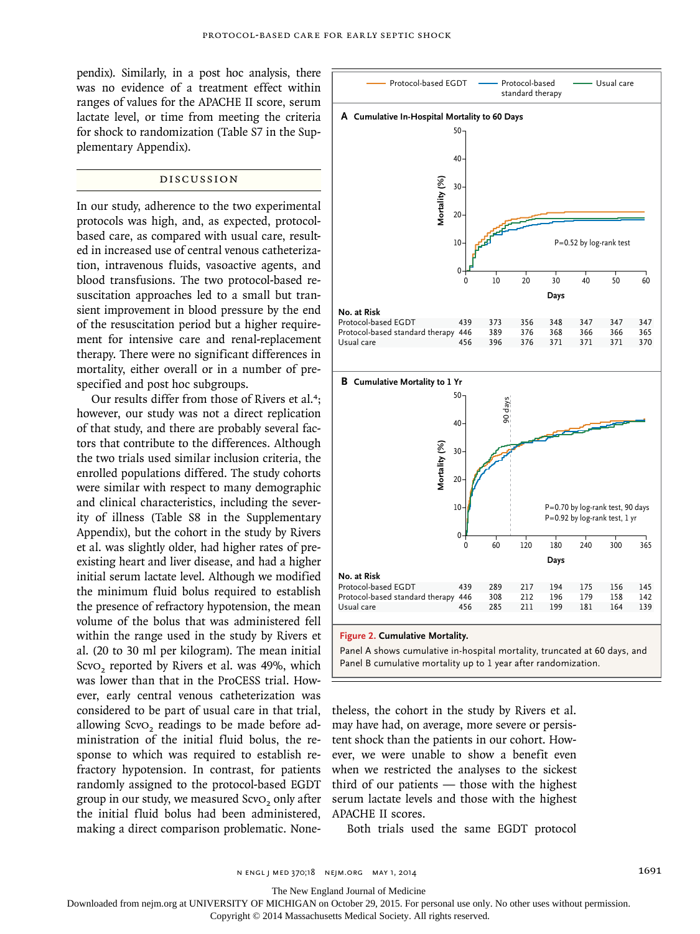pendix). Similarly, in a post hoc analysis, there was no evidence of a treatment effect within ranges of values for the APACHE II score, serum lactate level, or time from meeting the criteria for shock to randomization (Table S7 in the Supplementary Appendix).

### Discussion

In our study, adherence to the two experimental protocols was high, and, as expected, protocolbased care, as compared with usual care, resulted in increased use of central venous catheterization, intravenous fluids, vasoactive agents, and blood transfusions. The two protocol-based resuscitation approaches led to a small but transient improvement in blood pressure by the end of the resuscitation period but a higher requirement for intensive care and renal-replacement therapy. There were no significant differences in mortality, either overall or in a number of prespecified and post hoc subgroups.

Our results differ from those of Rivers et al.<sup>4</sup>: however, our study was not a direct replication of that study, and there are probably several factors that contribute to the differences. Although the two trials used similar inclusion criteria, the enrolled populations differed. The study cohorts were similar with respect to many demographic and clinical characteristics, including the severity of illness (Table S8 in the Supplementary Appendix), but the cohort in the study by Rivers et al. was slightly older, had higher rates of preexisting heart and liver disease, and had a higher initial serum lactate level. Although we modified the minimum fluid bolus required to establish the presence of refractory hypotension, the mean volume of the bolus that was administered fell within the range used in the study by Rivers et al. (20 to 30 ml per kilogram). The mean initial ScvO<sub>2</sub> reported by Rivers et al. was 49%, which was lower than that in the ProCESS trial. However, early central venous catheterization was considered to be part of usual care in that trial, allowing ScvO<sub>2</sub> readings to be made before administration of the initial fluid bolus, the response to which was required to establish refractory hypotension. In contrast, for patients randomly assigned to the protocol-based EGDT group in our study, we measured ScvO<sub>2</sub> only after the initial fluid bolus had been administered, making a direct comparison problematic. None-



Panel A shows cumulative in-hospital mortality, truncated at 60 days, and Panel B cumulative mortality up to 1 year after randomization.

theless, the cohort in the study by Rivers et al. may have had, on average, more severe or persistent shock than the patients in our cohort. However, we were unable to show a benefit even when we restricted the analyses to the sickest third of our patients — those with the highest serum lactate levels and those with the highest APACHE II scores.

Both trials used the same EGDT protocol

The New England Journal of Medicine

Downloaded from nejm.org at UNIVERSITY OF MICHIGAN on October 29, 2015. For personal use only. No other uses without permission.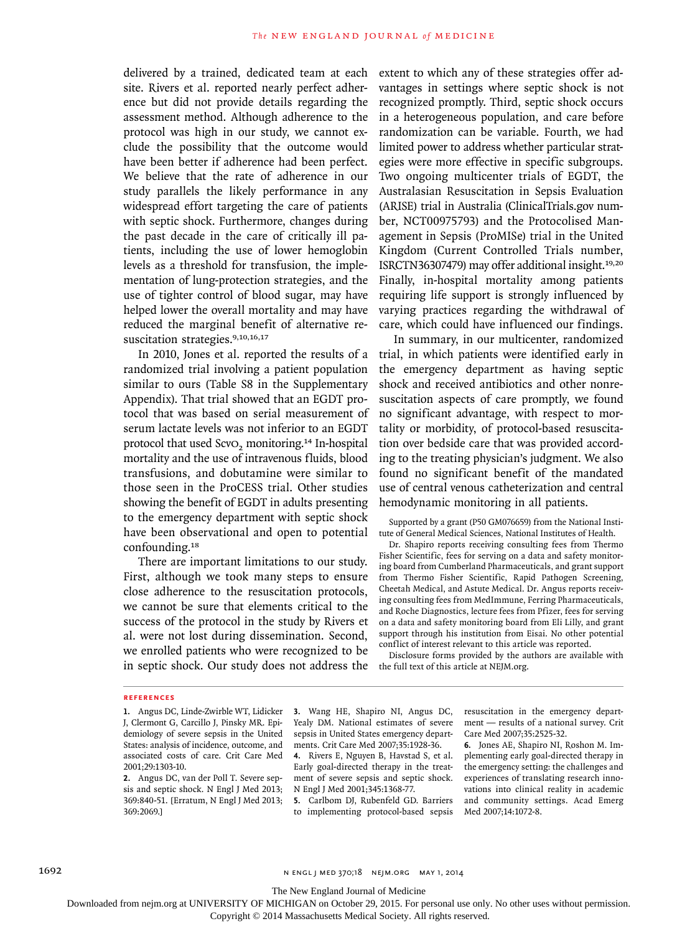delivered by a trained, dedicated team at each site. Rivers et al. reported nearly perfect adherence but did not provide details regarding the assessment method. Although adherence to the protocol was high in our study, we cannot exclude the possibility that the outcome would have been better if adherence had been perfect. We believe that the rate of adherence in our study parallels the likely performance in any widespread effort targeting the care of patients with septic shock. Furthermore, changes during the past decade in the care of critically ill patients, including the use of lower hemoglobin levels as a threshold for transfusion, the implementation of lung-protection strategies, and the use of tighter control of blood sugar, may have helped lower the overall mortality and may have reduced the marginal benefit of alternative resuscitation strategies.9,10,16,17

In 2010, Jones et al. reported the results of a randomized trial involving a patient population similar to ours (Table S8 in the Supplementary Appendix). That trial showed that an EGDT protocol that was based on serial measurement of serum lactate levels was not inferior to an EGDT protocol that used ScvO<sub>2</sub> monitoring.<sup>14</sup> In-hospital mortality and the use of intravenous fluids, blood transfusions, and dobutamine were similar to those seen in the ProCESS trial. Other studies showing the benefit of EGDT in adults presenting to the emergency department with septic shock have been observational and open to potential confounding.<sup>18</sup>

There are important limitations to our study. First, although we took many steps to ensure close adherence to the resuscitation protocols, we cannot be sure that elements critical to the success of the protocol in the study by Rivers et al. were not lost during dissemination. Second, we enrolled patients who were recognized to be in septic shock. Our study does not address the

extent to which any of these strategies offer advantages in settings where septic shock is not recognized promptly. Third, septic shock occurs in a heterogeneous population, and care before randomization can be variable. Fourth, we had limited power to address whether particular strategies were more effective in specific subgroups. Two ongoing multicenter trials of EGDT, the Australasian Resuscitation in Sepsis Evaluation (ARISE) trial in Australia (ClinicalTrials.gov number, NCT00975793) and the Protocolised Management in Sepsis (ProMISe) trial in the United Kingdom (Current Controlled Trials number, ISRCTN36307479) may offer additional insight.19,20 Finally, in-hospital mortality among patients requiring life support is strongly influenced by varying practices regarding the withdrawal of care, which could have influenced our findings.

In summary, in our multicenter, randomized trial, in which patients were identified early in the emergency department as having septic shock and received antibiotics and other nonresuscitation aspects of care promptly, we found no significant advantage, with respect to mortality or morbidity, of protocol-based resuscitation over bedside care that was provided according to the treating physician's judgment. We also found no significant benefit of the mandated use of central venous catheterization and central hemodynamic monitoring in all patients.

Supported by a grant (P50 GM076659) from the National Institute of General Medical Sciences, National Institutes of Health.

Dr. Shapiro reports receiving consulting fees from Thermo Fisher Scientific, fees for serving on a data and safety monitoring board from Cumberland Pharmaceuticals, and grant support from Thermo Fisher Scientific, Rapid Pathogen Screening, Cheetah Medical, and Astute Medical. Dr. Angus reports receiving consulting fees from MedImmune, Ferring Pharmaceuticals, and Roche Diagnostics, lecture fees from Pfizer, fees for serving on a data and safety monitoring board from Eli Lilly, and grant support through his institution from Eisai. No other potential conflict of interest relevant to this article was reported.

Disclosure forms provided by the authors are available with the full text of this article at NEJM.org.

#### **References**

**3.** Wang HE, Shapiro NI, Angus DC, Yealy DM. National estimates of severe sepsis in United States emergency departments. Crit Care Med 2007;35:1928-36.

**4.** Rivers E, Nguyen B, Havstad S, et al. Early goal-directed therapy in the treatment of severe sepsis and septic shock. N Engl J Med 2001;345:1368-77.

**5.** Carlbom DJ, Rubenfeld GD. Barriers to implementing protocol-based sepsis resuscitation in the emergency department — results of a national survey. Crit Care Med 2007;35:2525-32.

**6.** Jones AE, Shapiro NI, Roshon M. Implementing early goal-directed therapy in the emergency setting: the challenges and experiences of translating research innovations into clinical reality in academic and community settings. Acad Emerg Med 2007;14:1072-8.

The New England Journal of Medicine

Downloaded from nejm.org at UNIVERSITY OF MICHIGAN on October 29, 2015. For personal use only. No other uses without permission.

**<sup>1.</sup>** Angus DC, Linde-Zwirble WT, Lidicker J, Clermont G, Carcillo J, Pinsky MR. Epidemiology of severe sepsis in the United States: analysis of incidence, outcome, and associated costs of care. Crit Care Med 2001;29:1303-10.

**<sup>2.</sup>** Angus DC, van der Poll T. Severe sepsis and septic shock. N Engl J Med 2013; 369:840-51. [Erratum, N Engl J Med 2013; 369:2069.]